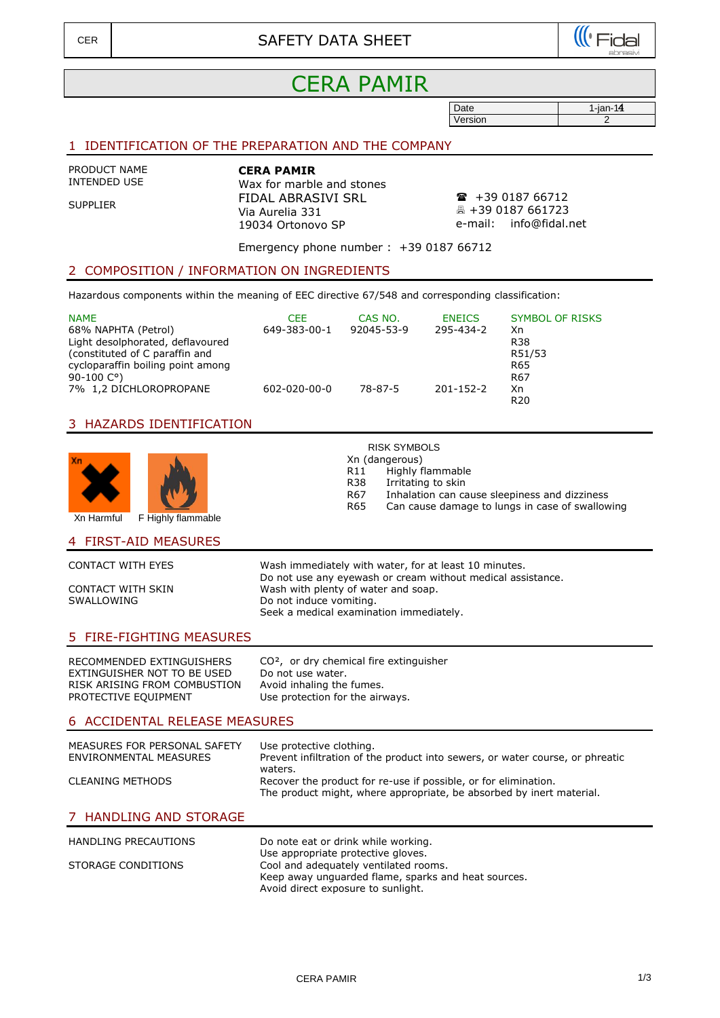

# CERA PAMIR

| Date    | $1$ -jan-14 |
|---------|-------------|
| Version |             |

# 1 IDENTIFICATION OF THE PREPARATION AND THE COMPANY

PRODUCT NAME INTENDED USE

SUPPLIER

**CERA PAMIR** Wax for marble and stones FIDAL ABRASIVI SRL Via Aurelia 331 19034 Ortonovo SP

 $\bullet$  +39 0187 66712 +39 0187 661723 e-mail: info@fidal.net

Emergency phone number : +39 0187 66712

### 2 COMPOSITION / INFORMATION ON INGREDIENTS

Hazardous components within the meaning of EEC directive 67/548 and corresponding classification:

| <b>NAME</b><br>68% NAPHTA (Petrol)<br>Light desolphorated, deflavoured<br>(constituted of C paraffin and<br>cycloparaffin boiling point among<br>90-100 $C^{\circ}$ ) | CFF.<br>649-383-00-1 | CAS NO.<br>92045-53-9 | <b>ENEICS</b><br>295-434-2 | <b>SYMBOL OF RISKS</b><br>Xn<br><b>R38</b><br>R51/53<br>R65<br>R67 |
|-----------------------------------------------------------------------------------------------------------------------------------------------------------------------|----------------------|-----------------------|----------------------------|--------------------------------------------------------------------|
| 7% 1,2 DICHLOROPROPANE                                                                                                                                                | 602-020-00-0         | 78-87-5               | $201 - 152 - 2$            | Xn<br>R <sub>20</sub>                                              |

## 3 HAZARDS IDENTIFICATION



# RISK SYMBOLS

Xn (dangerous)

- 
- R11 Highly flammable<br>R38 Irritating to skin R38 Irritating to skin<br>R67 Inhalation can ca
	-
- R67 Inhalation can cause sleepiness and dizziness<br>R65 Can cause damage to lungs in case of swallov
- Can cause damage to lungs in case of swallowing

#### 4 FIRST-AID MEASURES

| Wash immediately with water, for at least 10 minutes.<br>Do not use any eyewash or cream without medical assistance. |
|----------------------------------------------------------------------------------------------------------------------|
| Wash with plenty of water and soap.<br>Do not induce vomiting.                                                       |
| Seek a medical examination immediately.                                                                              |
|                                                                                                                      |

# 5 FIRE-FIGHTING MEASURES

RECOMMENDED EXTINGUISHERS CO<sup>2</sup>, or dry chemical fire extinguisher EXTINGUISHER NOT TO BE USED Do not use water.<br>RISK ARISING FROM COMBUSTION Avoid inhaling the fumes. RISK ARISING FROM COMBUSTION PROTECTIVE EQUIPMENT

Use protection for the airways.

#### 6 ACCIDENTAL RELEASE MEASURES

| MEASURES FOR PERSONAL SAFETY<br>ENVIRONMENTAL MEASURES | Use protective clothing.<br>Prevent infiltration of the product into sewers, or water course, or phreatic<br>waters.                    |
|--------------------------------------------------------|-----------------------------------------------------------------------------------------------------------------------------------------|
| <b>CLEANING METHODS</b>                                | Recover the product for re-use if possible, or for elimination.<br>The product might, where appropriate, be absorbed by inert material. |
| 7 HANDLING AND STORAGE                                 |                                                                                                                                         |

| HANDLING PRECAUTIONS | Do note eat or drink while working.                 |
|----------------------|-----------------------------------------------------|
|                      | Use appropriate protective gloves.                  |
| STORAGE CONDITIONS   | Cool and adequately ventilated rooms.               |
|                      | Keep away unguarded flame, sparks and heat sources. |

Avoid direct exposure to sunlight.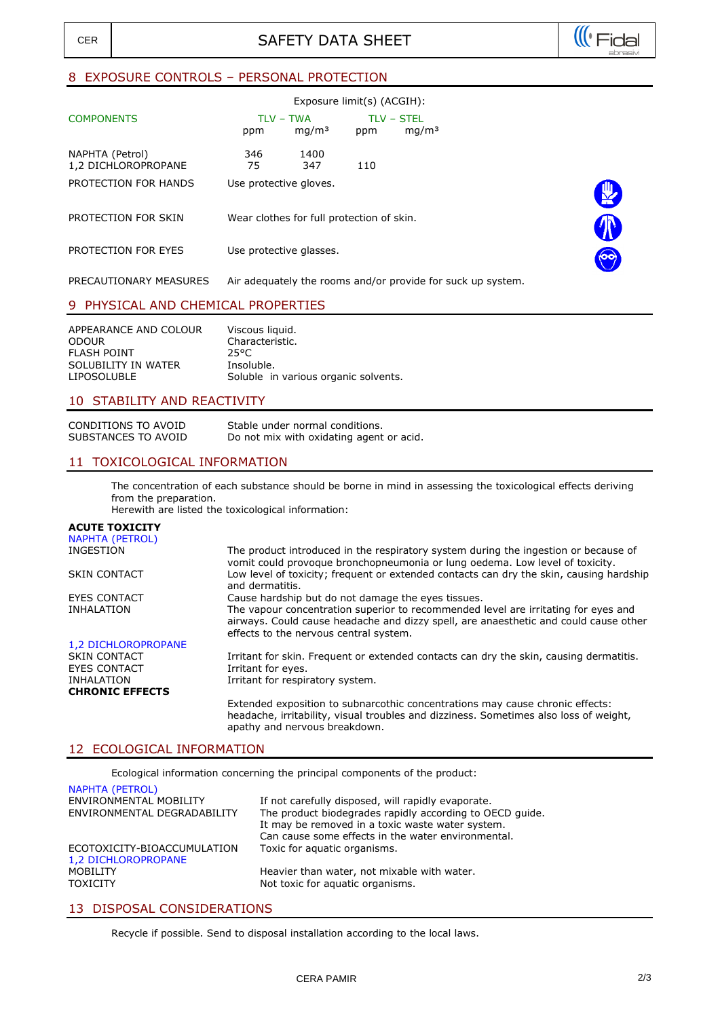

# 8 EXPOSURE CONTROLS – PERSONAL PROTECTION

| Exposure limit(s) (ACGIH):             |                        |                                           |     |                                                             |              |
|----------------------------------------|------------------------|-------------------------------------------|-----|-------------------------------------------------------------|--------------|
| <b>COMPONENTS</b>                      | ppm                    | TLV – TWA<br>mq/m <sup>3</sup>            | ppm | <b>TLV - STEL</b><br>mq/m <sup>3</sup>                      |              |
| NAPHTA (Petrol)<br>1,2 DICHLOROPROPANE | 346<br>75              | 1400<br>347                               | 110 |                                                             |              |
| PROTECTION FOR HANDS                   | Use protective gloves. |                                           |     |                                                             | $\mathbb{R}$ |
| PROTECTION FOR SKIN                    |                        | Wear clothes for full protection of skin. |     |                                                             |              |
| PROTECTION FOR EYES                    |                        | Use protective glasses.                   |     |                                                             |              |
| PRECAUTIONARY MEASURES                 |                        |                                           |     | Air adequately the rooms and/or provide for suck up system. |              |
|                                        |                        |                                           |     |                                                             |              |

## 9 PHYSICAL AND CHEMICAL PROPERTIES

| APPEARANCE AND COLOUR | Viscous liquid.                      |
|-----------------------|--------------------------------------|
| <b>ODOUR</b>          | Characteristic.                      |
| FLASH POINT           | 25°C.                                |
| SOLUBILITY IN WATER   | Insoluble.                           |
| LIPOSOLUBLE           | Soluble in various organic solvents. |

## 10 STABILITY AND REACTIVITY

CONDITIONS TO AVOID Stable under normal conditions.<br>SUBSTANCES TO AVOID Do not mix with oxidating agent Do not mix with oxidating agent or acid.

## 11 TOXICOLOGICAL INFORMATION

The concentration of each substance should be borne in mind in assessing the toxicological effects deriving from the preparation.

Herewith are listed the toxicological information:

# **ACUTE TOXICITY**

| <b>NAPHTA (PETROL)</b>                     |                                                                                                                                                                                                                      |
|--------------------------------------------|----------------------------------------------------------------------------------------------------------------------------------------------------------------------------------------------------------------------|
| INGESTION                                  | The product introduced in the respiratory system during the ingestion or because of<br>vomit could provoque bronchopneumonia or lung oedema. Low level of toxicity.                                                  |
| <b>SKIN CONTACT</b>                        | Low level of toxicity; frequent or extended contacts can dry the skin, causing hardship<br>and dermatitis.                                                                                                           |
| <b>EYES CONTACT</b>                        | Cause hardship but do not damage the eyes tissues.                                                                                                                                                                   |
| INHALATION                                 | The vapour concentration superior to recommended level are irritating for eyes and<br>airways. Could cause headache and dizzy spell, are anaesthetic and could cause other<br>effects to the nervous central system. |
| 1,2 DICHLOROPROPANE                        |                                                                                                                                                                                                                      |
| <b>SKIN CONTACT</b><br><b>EYES CONTACT</b> | Irritant for skin. Frequent or extended contacts can dry the skin, causing dermatitis.<br>Irritant for eyes.                                                                                                         |
| INHALATION                                 | Irritant for respiratory system.                                                                                                                                                                                     |
| <b>CHRONIC EFFECTS</b>                     |                                                                                                                                                                                                                      |
|                                            | Extended exposition to subnarcothic concentrations may cause chronic effects:<br>headache, irritability, visual troubles and dizziness. Sometimes also loss of weight,<br>apathy and nervous breakdown.              |

### 12 ECOLOGICAL INFORMATION

Ecological information concerning the principal components of the product:

| <b>NAPHTA (PETROL)</b><br>ENVIRONMENTAL MOBILITY<br>ENVIRONMENTAL DEGRADABILITY | If not carefully disposed, will rapidly evaporate.<br>The product biodegrades rapidly according to OECD guide.<br>It may be removed in a toxic waste water system.<br>Can cause some effects in the water environmental. |
|---------------------------------------------------------------------------------|--------------------------------------------------------------------------------------------------------------------------------------------------------------------------------------------------------------------------|
| ECOTOXICITY-BIOACCUMULATION<br>1,2 DICHLOROPROPANE                              | Toxic for aquatic organisms.                                                                                                                                                                                             |
| MOBILITY<br><b>TOXICITY</b>                                                     | Heavier than water, not mixable with water.<br>Not toxic for aquatic organisms.                                                                                                                                          |

# 13 DISPOSAL CONSIDERATIONS

Recycle if possible. Send to disposal installation according to the local laws.